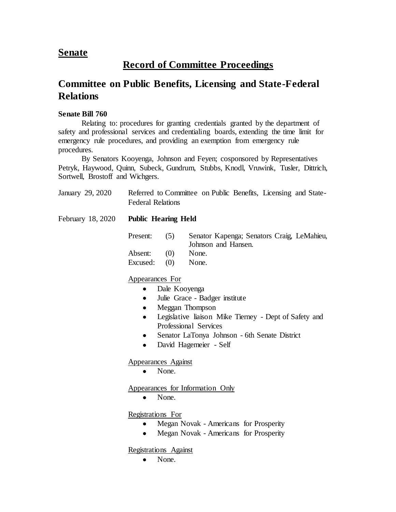## **Senate**

## **Record of Committee Proceedings**

## **Committee on Public Benefits, Licensing and State-Federal Relations**

## **Senate Bill 760**

Relating to: procedures for granting credentials granted by the department of safety and professional services and credentialing boards, extending the time limit for emergency rule procedures, and providing an exemption from emergency rule procedures.

By Senators Kooyenga, Johnson and Feyen; cosponsored by Representatives Petryk, Haywood, Quinn, Subeck, Gundrum, Stubbs, Knodl, Vruwink, Tusler, Dittrich, Sortwell, Brostoff and Wichgers.

| January 29, 2020  | Referred to Committee on Public Benefits, Licensing and State-<br><b>Federal Relations</b> |     |                                                                   |
|-------------------|--------------------------------------------------------------------------------------------|-----|-------------------------------------------------------------------|
| February 18, 2020 | <b>Public Hearing Held</b>                                                                 |     |                                                                   |
|                   | Present:                                                                                   | (5) | Senator Kapenga; Senators Craig, LeMahieu,<br>Johnson and Hansen. |
|                   | Absent:                                                                                    | (0) | None.                                                             |
|                   | Excused:                                                                                   | (0) | None.                                                             |
|                   | Appearances For                                                                            |     |                                                                   |
|                   | Dale Kooyenga<br>$\bullet$                                                                 |     |                                                                   |
|                   | Julie Grace - Badger institute<br>$\bullet$                                                |     |                                                                   |
|                   | Meggan Thompson<br>$\bullet$                                                               |     |                                                                   |
|                   | Legislative liaison Mike Tierney - Dept of Safety and<br>$\bullet$                         |     |                                                                   |
|                   | Professional Services                                                                      |     |                                                                   |
|                   | Senator LaTonya Johnson - 6th Senate District                                              |     |                                                                   |

David Hagemeier - Self

Appearances Against

• None.

Appearances for Information Only

• None.

Registrations For

- Megan Novak Americans for Prosperity
- Megan Novak Americans for Prosperity

Registrations Against

• None.